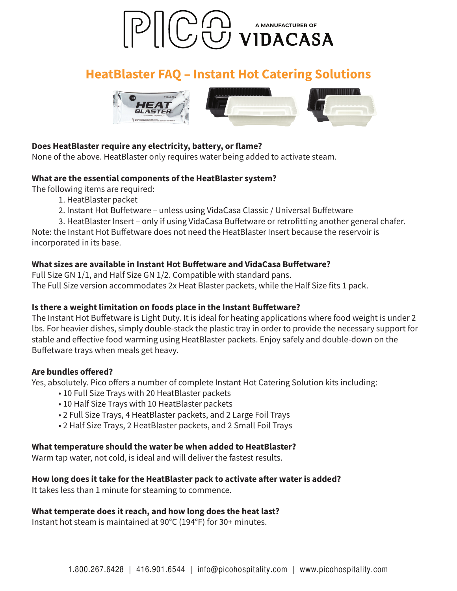

# **HeatBlaster FAQ - Instant Hot Catering Solutions**



## Does HeatBlaster require any electricity, battery, or flame?

None of the above. HeatBlaster only requires water being added to activate steam.

### What are the essential components of the HeatBlaster system?

The following items are required:

- 1. HeatBlaster packet
- 2. Instant Hot Buffetware unless using VidaCasa Classic / Universal Buffetware

3. HeatBlaster Insert – only if using VidaCasa Buffetware or retrofitting another general chafer. Note: the Instant Hot Buffetware does not need the HeatBlaster Insert because the reservoir is incorporated in its base.

### What sizes are available in Instant Hot Buffetware and VidaCasa Buffetware?

Full Size GN 1/1, and Half Size GN 1/2. Compatible with standard pans. The Full Size version accommodates 2x Heat Blaster packets, while the Half Size fits 1 pack.

### Is there a weight limitation on foods place in the Instant Buffetware?

The Instant Hot Buffetware is Light Duty. It is ideal for heating applications where food weight is under 2 lbs. For heavier dishes, simply double-stack the plastic tray in order to provide the necessary support for stable and effective food warming using HeatBlaster packets. Enjoy safely and double-down on the Buffetware trays when meals get heavy.

#### Are bundles offered?

Yes, absolutely. Pico offers a number of complete Instant Hot Catering Solution kits including:

- $\bullet$  10 Full Size Trays with 20 HeatBlaster packets
- $\bullet$  10 Half Size Trays with 10 HeatBlaster packets
- 2 Full Size Trays, 4 HeatBlaster packets, and 2 Large Foil Trays
- 2 Half Size Trays, 2 HeatBlaster packets, and 2 Small Foil Trays

### What temperature should the water be when added to HeatBlaster?

Warm tap water, not cold, is ideal and will deliver the fastest results.

### How long does it take for the HeatBlaster pack to activate after water is added?

It takes less than 1 minute for steaming to commence.

### What temperate does it reach, and how long does the heat last?

Instant hot steam is maintained at 90°C (194°F) for 30+ minutes.